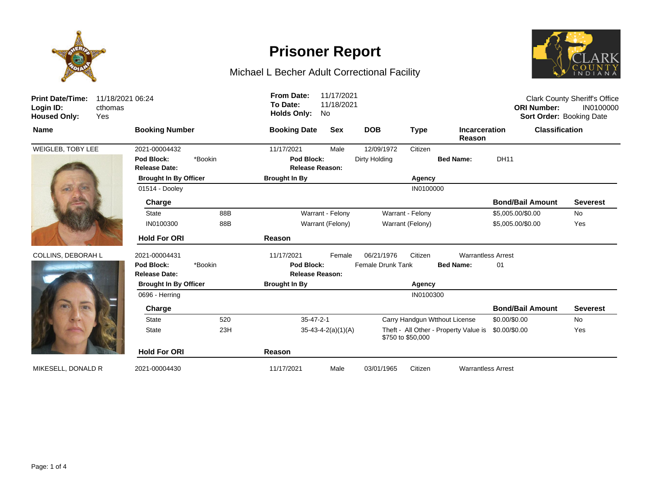

# **Prisoner Report**

## Michael L Becher Adult Correctional Facility



| <b>Print Date/Time:</b><br>Login ID:<br><b>Housed Only:</b> | 11/18/2021 06:24<br>cthomas<br><b>Yes</b> |                                    |         | <b>From Date:</b><br>To Date:<br><b>Holds Only:</b> | 11/17/2021<br>11/18/2021<br>No |                          |                   |                                       | <b>ORI Number:</b>      | <b>Clark County Sheriff's Office</b><br>IN0100000<br>Sort Order: Booking Date |  |
|-------------------------------------------------------------|-------------------------------------------|------------------------------------|---------|-----------------------------------------------------|--------------------------------|--------------------------|-------------------|---------------------------------------|-------------------------|-------------------------------------------------------------------------------|--|
| <b>Name</b>                                                 |                                           | <b>Booking Number</b>              |         | <b>Booking Date</b><br><b>Sex</b>                   |                                | <b>DOB</b>               | <b>Type</b>       | <b>Incarceration</b><br>Reason        |                         | <b>Classification</b>                                                         |  |
| WEIGLEB, TOBY LEE                                           |                                           | 2021-00004432                      |         | 11/17/2021                                          | Male                           | 12/09/1972               | Citizen           |                                       |                         |                                                                               |  |
|                                                             |                                           | Pod Block:<br><b>Release Date:</b> | *Bookin | Pod Block:                                          | <b>Release Reason:</b>         | Dirty Holding            |                   | <b>Bed Name:</b>                      | <b>DH11</b>             |                                                                               |  |
|                                                             |                                           | <b>Brought In By Officer</b>       |         | <b>Brought In By</b>                                |                                |                          | Agency            |                                       |                         |                                                                               |  |
|                                                             |                                           | 01514 - Dooley                     |         | IN0100000                                           |                                |                          |                   |                                       |                         |                                                                               |  |
|                                                             |                                           | Charge                             |         |                                                     |                                |                          |                   |                                       | <b>Bond/Bail Amount</b> | <b>Severest</b>                                                               |  |
|                                                             |                                           | State                              | 88B     |                                                     | Warrant - Felony               |                          | Warrant - Felony  |                                       | \$5,005.00/\$0.00       | <b>No</b>                                                                     |  |
|                                                             |                                           | IN0100300                          | 88B     |                                                     | Warrant (Felony)               |                          | Warrant (Felony)  |                                       | \$5,005.00/\$0.00       | Yes                                                                           |  |
|                                                             |                                           | <b>Hold For ORI</b>                |         | Reason                                              |                                |                          |                   |                                       |                         |                                                                               |  |
| COLLINS, DEBORAH L                                          |                                           | 2021-00004431                      |         | 11/17/2021                                          | Female                         | 06/21/1976               | Citizen           | <b>Warrantless Arrest</b>             |                         |                                                                               |  |
|                                                             |                                           | Pod Block:<br><b>Release Date:</b> | *Bookin | Pod Block:                                          | <b>Release Reason:</b>         | <b>Female Drunk Tank</b> |                   | <b>Bed Name:</b>                      | 01                      |                                                                               |  |
|                                                             |                                           | <b>Brought In By Officer</b>       |         | <b>Brought In By</b>                                |                                | Agency                   |                   |                                       |                         |                                                                               |  |
|                                                             |                                           | 0696 - Herring                     |         | IN0100300                                           |                                |                          |                   |                                       |                         |                                                                               |  |
|                                                             |                                           | Charge                             |         |                                                     |                                |                          |                   |                                       | <b>Bond/Bail Amount</b> | <b>Severest</b>                                                               |  |
|                                                             |                                           | <b>State</b>                       | 520     | $35 - 47 - 2 - 1$                                   |                                |                          |                   | Carry Handgun Wtthout License         | \$0.00/\$0.00           | <b>No</b>                                                                     |  |
|                                                             |                                           | <b>State</b>                       | 23H     |                                                     | $35-43-4-2(a)(1)(A)$           |                          | \$750 to \$50,000 | Theft - All Other - Property Value is | \$0.00/\$0.00           | Yes                                                                           |  |
|                                                             |                                           | <b>Hold For ORI</b>                |         | Reason                                              |                                |                          |                   |                                       |                         |                                                                               |  |
| MIKESELL, DONALD R                                          |                                           | 2021-00004430                      |         | 11/17/2021                                          | Male                           | 03/01/1965               | Citizen           | <b>Warrantless Arrest</b>             |                         |                                                                               |  |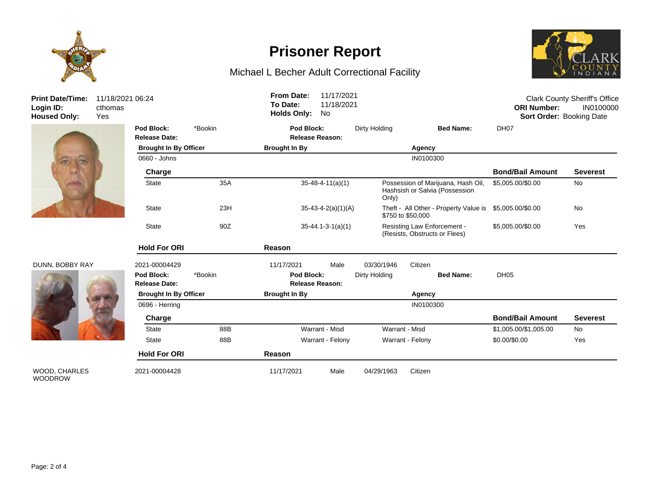

**Prisoner Report**

### Michael L Becher Adult Correctional Facility



Login ID:<br>**Login ID:**<br>Housed Only:

#### DUNN, BOBBY RAY

WOOD, CHARLES WOODROW



| <b>Print Date/Time:</b><br>Login ID:<br><b>Housed Only:</b> | 11/18/2021 06:24<br>cthomas<br>Yes |                                    |         | 11/17/2021<br><b>From Date:</b><br>To Date:<br>11/18/2021<br><b>Holds Only:</b><br>No |                            |                                                                      |                                                              | <b>Clark County Sheriff's Office</b><br><b>ORI Number:</b><br>IN0100000<br>Sort Order: Booking Date |                 |
|-------------------------------------------------------------|------------------------------------|------------------------------------|---------|---------------------------------------------------------------------------------------|----------------------------|----------------------------------------------------------------------|--------------------------------------------------------------|-----------------------------------------------------------------------------------------------------|-----------------|
|                                                             |                                    | Pod Block:<br><b>Release Date:</b> | *Bookin | Pod Block:                                                                            | <b>Release Reason:</b>     | Dirty Holding                                                        | <b>Bed Name:</b>                                             | DH07                                                                                                |                 |
|                                                             |                                    | <b>Brought In By Officer</b>       |         | <b>Brought In By</b>                                                                  |                            |                                                                      | Agency                                                       |                                                                                                     |                 |
|                                                             |                                    | 0660 - Johns                       |         |                                                                                       |                            |                                                                      | IN0100300                                                    |                                                                                                     |                 |
| $\left( n\right)$                                           |                                    | Charge                             |         |                                                                                       |                            |                                                                      |                                                              | <b>Bond/Bail Amount</b>                                                                             | <b>Severest</b> |
|                                                             |                                    | <b>State</b><br>35A                |         | $35 - 48 - 4 - 11(a)(1)$                                                              | Only)                      | Possession of Marijuana, Hash Oil,<br>Hashsish or Salvia (Possession | \$5,005.00/\$0.00                                            | No                                                                                                  |                 |
|                                                             |                                    | <b>State</b>                       | 23H     |                                                                                       | $35 - 43 - 4 - 2(a)(1)(A)$ |                                                                      | Theft - All Other - Property Value is<br>\$750 to \$50,000   | \$5,005.00/\$0.00                                                                                   | <b>No</b>       |
|                                                             |                                    | State                              | 90Z     |                                                                                       | $35 - 44.1 - 3 - 1(a)(1)$  |                                                                      | Resisting Law Enforcement -<br>(Resists, Obstructs or Flees) | \$5,005.00/\$0.00                                                                                   | Yes             |
|                                                             |                                    | <b>Hold For ORI</b>                |         | Reason                                                                                |                            |                                                                      |                                                              |                                                                                                     |                 |
| DUNN, BOBBY RAY                                             |                                    | 2021-00004429                      |         | 11/17/2021                                                                            | Male                       | 03/30/1946                                                           | Citizen                                                      |                                                                                                     |                 |
|                                                             |                                    | Pod Block:<br><b>Release Date:</b> | *Bookin | Pod Block:                                                                            | <b>Release Reason:</b>     | Dirty Holding                                                        | <b>Bed Name:</b>                                             | DH <sub>05</sub>                                                                                    |                 |
|                                                             |                                    | <b>Brought In By Officer</b>       |         | <b>Brought In By</b>                                                                  |                            | Agency                                                               |                                                              |                                                                                                     |                 |
|                                                             |                                    | 0696 - Herring                     |         |                                                                                       |                            |                                                                      | IN0100300                                                    |                                                                                                     |                 |
|                                                             |                                    | Charge                             |         |                                                                                       |                            |                                                                      |                                                              | <b>Bond/Bail Amount</b>                                                                             | <b>Severest</b> |
|                                                             |                                    | <b>State</b>                       | 88B     |                                                                                       | Warrant - Misd             |                                                                      | Warrant - Misd                                               | \$1,005.00/\$1,005.00                                                                               | No              |
|                                                             |                                    | <b>State</b>                       | 88B     |                                                                                       | Warrant - Felony           |                                                                      | Warrant - Felony                                             | \$0.00/\$0.00                                                                                       | Yes             |
|                                                             |                                    | <b>Hold For ORI</b>                |         | Reason                                                                                |                            |                                                                      |                                                              |                                                                                                     |                 |
| <b>WOOD, CHARLES</b><br>MOMDDOMM                            |                                    | 2021-00004428                      |         | 11/17/2021                                                                            | Male                       | 04/29/1963                                                           | Citizen                                                      |                                                                                                     |                 |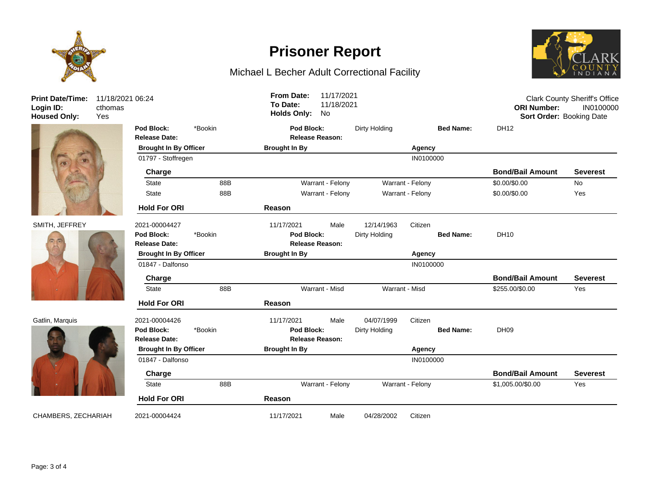

**Print Date/Time: Login ID:** 11/18/2021 06:24 cthomas







**Release Date: Release Reason: Pod Block:** \*Bookin **Pod Block:** Dirty Holding **Bed Name:** DH12 **Brought In By Officer Brought In By Agency** 01797 - Stoffregen IN0100000 **Charge Bond/Bail Amount Severest** State 88B 88B Warrant - Felony Warrant - Felony 80.00/\$0.00 No State 88B Warrant - Felony Warrant - Felony \$0.00/\$0.00 Yes **Hold For ORI Reason** SMITH, JEFFREY 2021-00004427 11/17/2021 Male 12/14/1963 Citizen **Release Date: Release Reason: Pod Block:** \*Bookin **Pod Block:** Dirty Holding **Bed Name:** DH10 **Brought In By Officer Brought In By Agency** 01847 - Dalfonso INO 100000 Provident and the UNITED STATES INCOLORED TO A 2000 PROVIDENCE INCOLORED TO A 2000 **Charge Bond/Bail Amount Severest** State 88B Warrant - Misd Warrant - Misd \$255.00/\$0.00 Yes **Hold For ORI Reason** Gatlin, Marquis 2021-00004426 11/17/2021 Male 04/07/1999 Citizen **Release Date: Release Reason: Pod Block:** \*Bookin **Pod Block:** Dirty Holding **Bed Name:** DH09 **Brought In By Officer Brought In By Agency** 01847 - Dalfonso **INO**100000 **INO Charge Bond/Bail Amount Severest** State 88B 88B Warrant - Felony Warrant - Felony S1,005.00/\$0.00 Yes **Hold For ORI Reason** CHAMBERS, ZECHARIAH 2021-00004424 11/17/2021 Male 04/28/2002 Citizen **Housed Only:** Yes **Holds Only:** No **Sort Order:** Booking Date



Clark County Sheriff's Office **ORI Number:** IN0100000

## **Prisoner Report**

Michael L Becher Adult Correctional Facility

**To Date:** 11/18/2021 **From Date:** 11/17/2021